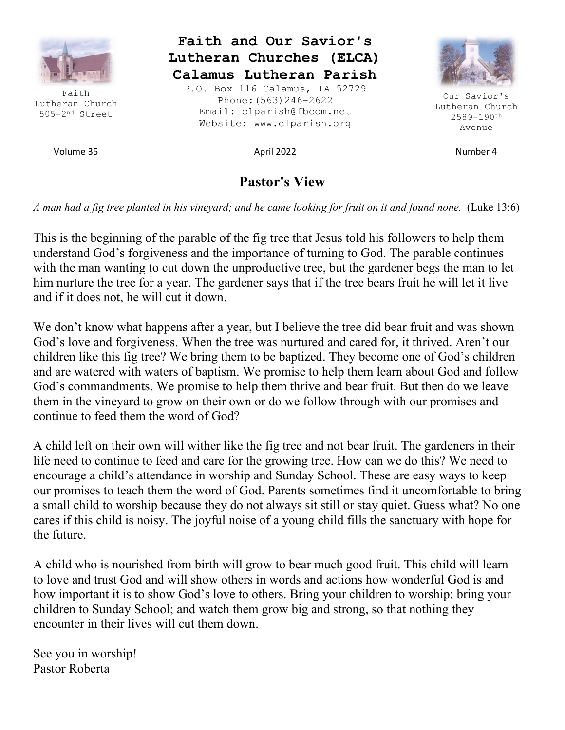

# **Pastor's View**

*A man had a fig tree planted in his vineyard; and he came looking for fruit on it and found none.* (Luke 13:6)

This is the beginning of the parable of the fig tree that Jesus told his followers to help them understand God's forgiveness and the importance of turning to God. The parable continues with the man wanting to cut down the unproductive tree, but the gardener begs the man to let him nurture the tree for a year. The gardener says that if the tree bears fruit he will let it live and if it does not, he will cut it down.

We don't know what happens after a year, but I believe the tree did bear fruit and was shown God's love and forgiveness. When the tree was nurtured and cared for, it thrived. Aren't our children like this fig tree? We bring them to be baptized. They become one of God's children and are watered with waters of baptism. We promise to help them learn about God and follow God's commandments. We promise to help them thrive and bear fruit. But then do we leave them in the vineyard to grow on their own or do we follow through with our promises and continue to feed them the word of God?

A child left on their own will wither like the fig tree and not bear fruit. The gardeners in their life need to continue to feed and care for the growing tree. How can we do this? We need to encourage a child's attendance in worship and Sunday School. These are easy ways to keep our promises to teach them the word of God. Parents sometimes find it uncomfortable to bring a small child to worship because they do not always sit still or stay quiet. Guess what? No one cares if this child is noisy. The joyful noise of a young child fills the sanctuary with hope for the future.

A child who is nourished from birth will grow to bear much good fruit. This child will learn to love and trust God and will show others in words and actions how wonderful God is and how important it is to show God's love to others. Bring your children to worship; bring your children to Sunday School; and watch them grow big and strong, so that nothing they encounter in their lives will cut them down.

See you in worship! Pastor Roberta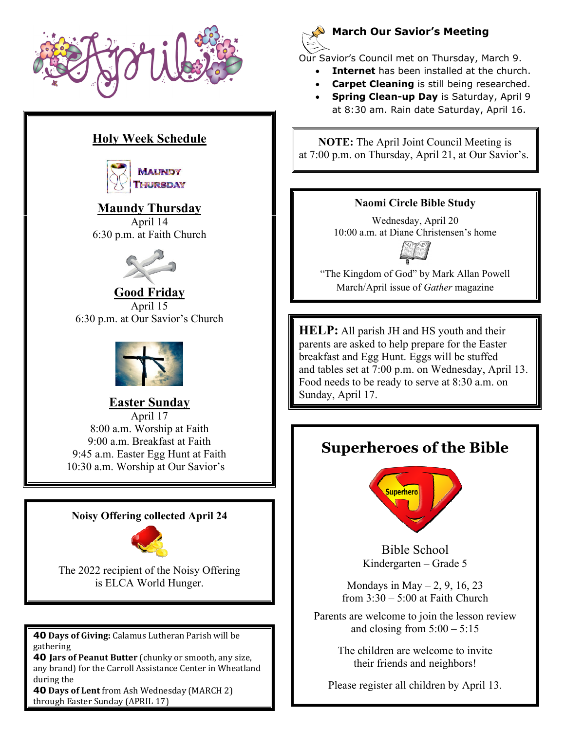

# **Holy Week Schedule**



**Maundy Thursday**  April 14 6:30 p.m. at Faith Church



### **Good Friday**  April 15 6:30 p.m. at Our Savior's Church



## **Easter Sunday**

April 17 8:00 a.m. Worship at Faith 9:00 a.m. Breakfast at Faith 9:45 a.m. Easter Egg Hunt at Faith 10:30 a.m. Worship at Our Savior's

### **Noisy Offering collected April 24**



The 2022 recipient of the Noisy Offering is ELCA World Hunger.

**40 Days of Giving:** Calamus Lutheran Parish will be gathering

**40 Jars of Peanut Butter** (chunky or smooth, any size, any brand) for the Carroll Assistance Center in Wheatland during the

**40 Days of Lent** from Ash Wednesday (MARCH 2) through Easter Sunday (APRIL 17)



## **March Our Savior's Meeting**

Our Savior's Council met on Thursday, March 9.

- **Internet** has been installed at the church.
- **Carpet Cleaning** is still being researched.
- **Spring Clean-up Day** is Saturday, April 9 at 8:30 am. Rain date Saturday, April 16.

**NOTE:** The April Joint Council Meeting is at 7:00 p.m. on Thursday, April 21, at Our Savior's.

## **Naomi Circle Bible Study**

Wednesday, April 20 10:00 a.m. at Diane Christensen's home



"The Kingdom of God" by Mark Allan Powell March/April issue of *Gather* magazine

**HELP:** All parish JH and HS youth and their parents are asked to help prepare for the Easter breakfast and Egg Hunt. Eggs will be stuffed and tables set at 7:00 p.m. on Wednesday, April 13. Food needs to be ready to serve at 8:30 a.m. on Sunday, April 17.

# **Superheroes of the Bible**



Bible School Kindergarten – Grade 5

Mondays in May  $-2$ , 9, 16, 23 from  $3:30 - 5:00$  at Faith Church

Parents are welcome to join the lesson review and closing from  $5:00 - 5:15$ 

> The children are welcome to invite their friends and neighbors!

Please register all children by April 13.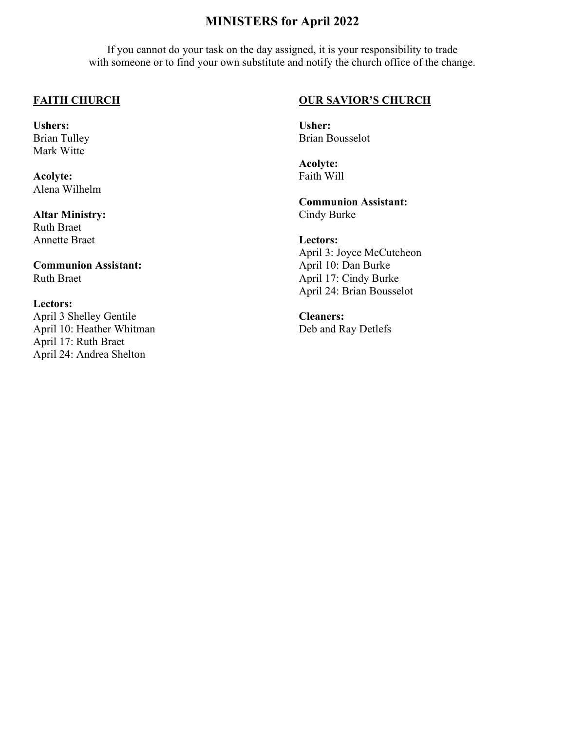# **MINISTERS for April 2022**

If you cannot do your task on the day assigned, it is your responsibility to trade with someone or to find your own substitute and notify the church office of the change.

#### **FAITH CHURCH**

**Ushers:**  Brian Tulley Mark Witte

**Acolyte:**  Alena Wilhelm

**Altar Ministry:**  Ruth Braet Annette Braet

**Communion Assistant:**  Ruth Braet

#### **Lectors:**

April 3 Shelley Gentile April 10: Heather Whitman April 17: Ruth Braet April 24: Andrea Shelton

#### **OUR SAVIOR'S CHURCH**

**Usher:**  Brian Bousselot

**Acolyte:**  Faith Will

**Communion Assistant:**  Cindy Burke

**Lectors:** 

April 3: Joyce McCutcheon April 10: Dan Burke April 17: Cindy Burke April 24: Brian Bousselot

**Cleaners:**  Deb and Ray Detlefs